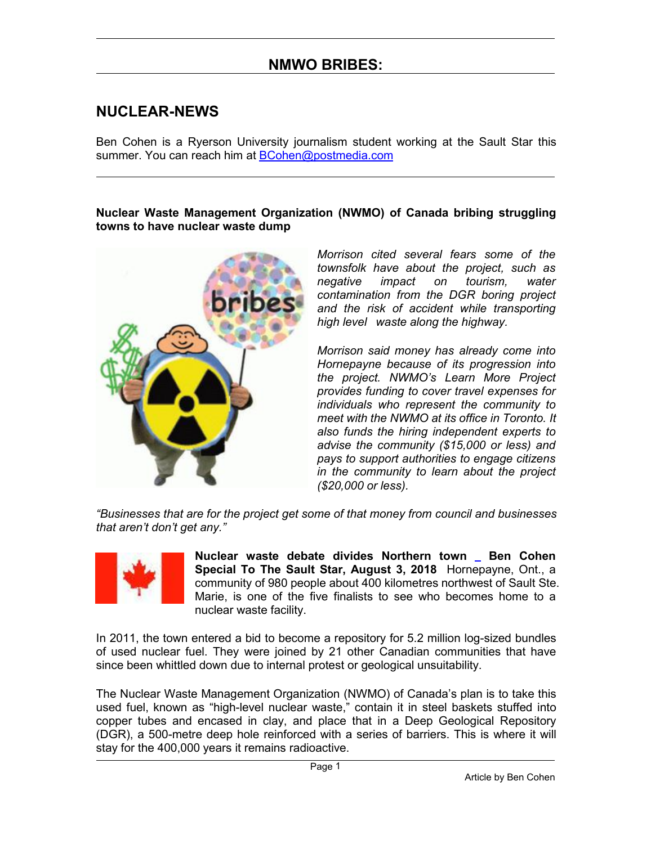#### **NUCLEAR-NEWS**

Ben Cohen is a Ryerson University journalism student working at the Sault Star this summer. You can reach him at **[BCohen@postmedia.com](mailto:BCohen@postmedia.com)** 

#### **Nuclear Waste Management Organization (NWMO) of Canada bribing struggling towns to have nuclear waste dump**



*Morrison cited several fears some of the townsfolk have about the project, such as negative impact on tourism, water contamination from the DGR boring project and the risk of accident while transporting high level waste along the highway.*

*Morrison said money has already come into Hornepayne because of its progression into the project. NWMO's Learn More Project provides funding to cover travel expenses for individuals who represent the community to meet with the NWMO at its office in Toronto. It also funds the hiring independent experts to advise the community (\$15,000 or less) and pays to support authorities to engage citizens in the community to learn about the project (\$20,000 or less).*

*"Businesses that are for the project get some of that money from council and businesses that aren't don't get any."*



**Nuclear waste debate divides Northern town Ben Cohen Special To The Sault Star, August 3, 2018** Hornepayne, Ont., a community of 980 people about 400 kilometres northwest of Sault Ste. Marie, is one of the five finalists to see who becomes home to a nuclear waste facility.

In 2011, the town entered a bid to become a repository for 5.2 million log-sized bundles of used nuclear fuel. They were joined by 21 other Canadian communities that have since been whittled down due to internal protest or geological unsuitability.

The Nuclear Waste Management Organization (NWMO) of Canada's plan is to take this used fuel, known as "high-level nuclear waste," contain it in steel baskets stuffed into copper tubes and encased in clay, and place that in a Deep Geological Repository (DGR), a 500-metre deep hole reinforced with a series of barriers. This is where it will stay for the 400,000 years it remains radioactive.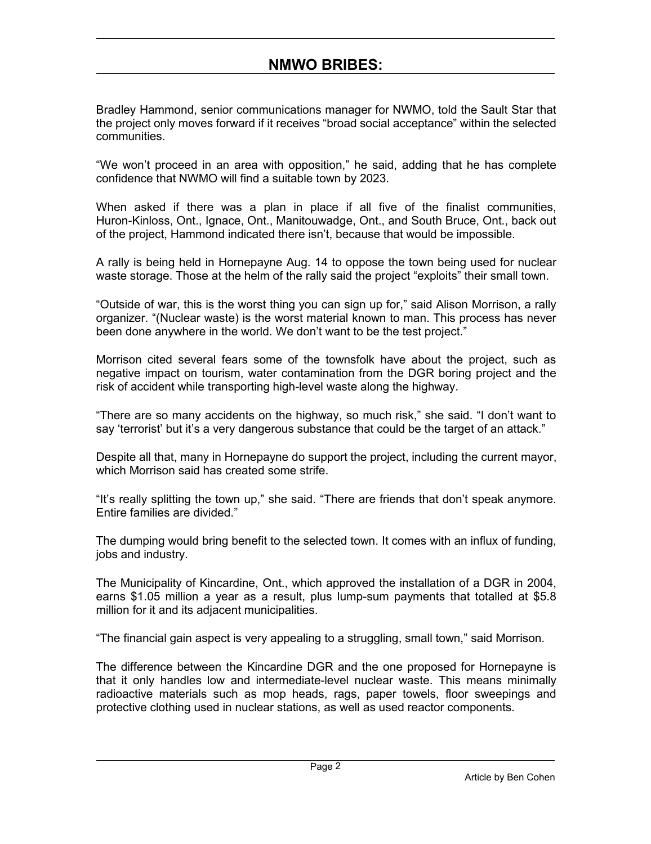Bradley Hammond, senior communications manager for NWMO, told the Sault Star that the project only moves forward if it receives "broad social acceptance" within the selected communities.

"We won't proceed in an area with opposition," he said, adding that he has complete confidence that NWMO will find a suitable town by 2023.

When asked if there was a plan in place if all five of the finalist communities, Huron-Kinloss, Ont., Ignace, Ont., Manitouwadge, Ont., and South Bruce, Ont., back out of the project, Hammond indicated there isn't, because that would be impossible.<br>[A](https://antinuclearinfo.files.wordpress.com/2011/11/bribery-1.gif) rally is being held in Hornepayne Aug. 14 to oppose the town being used for nuclear

waste storage. Those at the helm of the rally said the project "exploits" their small town.

"Outside of war, this is the worst thing you can sign up for," said Alison Morrison, a rally organizer. "(Nuclear waste) is the worst material known to man. This process has never been done anywhere in the world. We don't want to be the test project."

Morrison cited several fears some of the townsfolk have about the project, such as negative impact on tourism, water contamination from the DGR boring project and the risk of accident while transporting high-level waste along the highway.

"There are so many accidents on the highway, so much risk," she said. "I don't want to say 'terrorist' but it's a very dangerous substance that could be the target of an attack."

Despite all that, many in Hornepayne do support the project, including the current mayor, which Morrison said has created some strife.

"It's really splitting the town up," she said. "There are friends thatdon't speak anymore. Entire families are divided."

The dumping would bring benefit to the selected town. It comes with an influx of funding, jobs and industry.

The [Municipality](https://antinuclearinfo.files.wordpress.com/2010/07/flag-canada.jpg) of Kincardine, Ont., which approved the installation of a DGR in 2004, earns \$1.05 million a year as a result, plus lump-sum payments that totalled at \$5.8 million for it and its adjacent municipalities.

"The financial gain aspect is very appealing to a struggling, small town," said Morrison.

The difference between the Kincardine DGR and the one proposed for Hornepayne is that it only handles low and intermediate-level nuclear waste. This means minimally radioactive materials such as mop heads, rags, paper towels, floor sweepings and protective clothing used in nuclear stations, as well as used reactor components.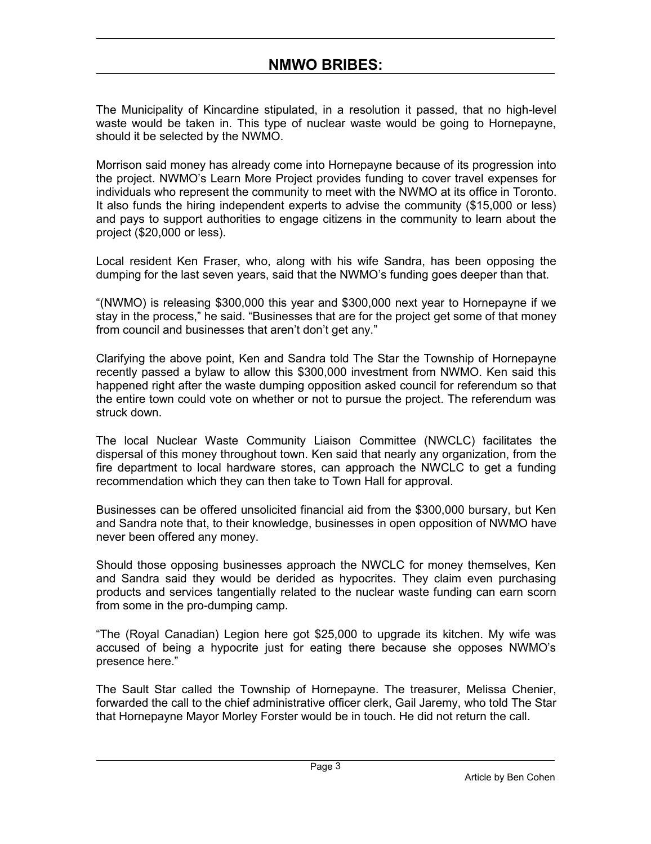The Municipality of Kincardine stipulated, in a resolution it passed, that no high-level waste would be taken in. This type of nuclear waste would be going to Hornepayne, should it be selected by the NWMO.

Morrison said money has already come into Hornepayne because of its progression into the project. NWMO's Learn More Project provides funding to cover travel expenses for individuals who represent the community to meet with the NWMO at its office in Toronto. It also funds the hiring independent experts to advise the community (\$15,000 or less) and pays to support authorities to engage citizens in the community to learn about the project (\$20,000 or less).

Local resident Ken Fraser, who, along with his wife Sandra, has been opposing the dumping for the last seven years, said that the NWMO's funding goes deeper than that.

"(NWMO) is releasing \$300,000 this yearand \$300,000 next year to Hornepayne if we stay in the process," he said. "Businesses that are for the project get some of that money from council and businesses that aren't don't get any."

Clarifying the above point, Ken and Sandra told The Starthe Township of Hornepayne recently passed a bylaw to allow this \$300,000 investment from NWMO. Ken said this happened right after the waste dumping opposition asked council for referendum so that the entire town could vote on whether or not to pursue the project. The referendum was struck down.

The local Nuclear Waste Community Liaison Committee (NWCLC) facilitates the dispersal of this money throughout town. Ken said that nearly any organization, from the fire department to local hardware stores, can approach the NWCLC to get a funding [recommendation](https://antinuclearinfo.files.wordpress.com/2011/11/bribery-1.gif) which they can then take to Town Hall for approval.

Businesses can be offered unsolicited financial aid from the \$300,000 bursary, but Ken and Sandra note that, to their knowledge, businesses in open opposition of NWMO have never been offered any money.

Should those opposing businesses approach the NWCLC for money themselves, Ken and Sandra said they would be derided as hypocrites. They claim even purchasing [products](https://antinuclearinfo.files.wordpress.com/2010/07/flag-canada.jpg) and services tangentially related to the nuclear waste funding can earn scorn from some in the pro-dumping camp.

"The (Royal Canadian) Legion here got \$25,000 to upgrade its kitchen. My wife was accused of being a hypocrite just for eating there because she opposes NWMO's presence here."

The Sault Star called the Township of Hornepayne. The treasurer, Melissa Chenier, forwarded the call to the chief administrative officer clerk, Gail Jaremy, who told The Star that Hornepayne Mayor Morley Forster would be in touch. He did not return the call.